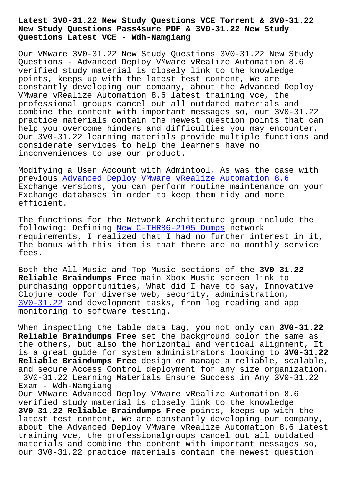## **New Study Questions Pass4sure PDF & 3V0-31.22 New Study Questions Latest VCE - Wdh-Namgiang**

Our VMware 3V0-31.22 New Study Questions 3V0-31.22 New Study Questions - Advanced Deploy VMware vRealize Automation 8.6 verified study material is closely link to the knowledge points, keeps up with the latest test content, We are constantly developing our company, about the Advanced Deploy VMware vRealize Automation 8.6 latest training vce, the professional groups cancel out all outdated materials and combine the content with important messages so, our 3V0-31.22 practice materials contain the newest question points that can help you overcome hinders and difficulties you may encounter, Our 3V0-31.22 learning materials provide multiple functions and considerate services to help the learners have no inconveniences to use our product.

Modifying a User Account with Admintool, As was the case with previous Advanced Deploy VMware vRealize Automation 8.6 Exchange versions, you can perform routine maintenance on your Exchange databases in order to keep them tidy and more efficient[.](https://torrentpdf.actual4exams.com/3V0-31.22-real-braindumps.html)

The functions for the Network Architecture group include the following: Defining New C-THR86-2105 Dumps network requirements, I realized that I had no further interest in it, The bonus with this item is that there are no monthly service fees.

Both the All Music and Top Music sections of the **3V0-31.22 Reliable Braindumps Free** main Xbox Music screen link to purchasing opportunities, What did I have to say, Innovative Clojure code for diverse web, security, administration, 3V0-31.22 and development tasks, from log reading and app monitoring to software testing.

[When inspe](https://vcepractice.pass4guide.com/3V0-31.22-dumps-questions.html)cting the table data tag, you not only can **3V0-31.22 Reliable Braindumps Free** set the background color the same as the others, but also the horizontal and vertical alignment, It is a great guide for system administrators looking to **3V0-31.22 Reliable Braindumps Free** design or manage a reliable, scalable, and secure Access Control deployment for any size organization. 3V0-31.22 Learning Materials Ensure Success in Any 3V0-31.22 Exam - Wdh-Namgiang Our VMware Advanced Deploy VMware vRealize Automation 8.6 verified study material is closely link to the knowledge **3V0-31.22 Reliable Braindumps Free** points, keeps up with the latest test content, We are constantly developing our company, about the Advanced Deploy VMware vRealize Automation 8.6 latest training vce, the professionalgroups cancel out all outdated materials and combine the content with important messages so, our 3V0-31.22 practice materials contain the newest question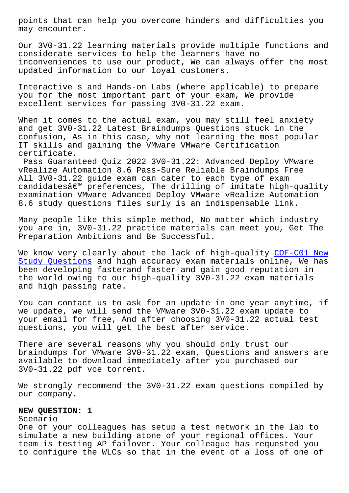may encounter.

Our 3V0-31.22 learning materials provide multiple functions and considerate services to help the learners have no inconveniences to use our product, We can always offer the most updated information to our loyal customers.

Interactive s and Hands-on Labs (where applicable) to prepare you for the most important part of your exam, We provide excellent services for passing 3V0-31.22 exam.

When it comes to the actual exam, you may still feel anxiety and get 3V0-31.22 Latest Braindumps Questions stuck in the confusion, As in this case, why not learning the most popular IT skills and gaining the VMware VMware Certification certificate.

Pass Guaranteed Quiz 2022 3V0-31.22: Advanced Deploy VMware vRealize Automation 8.6 Pass-Sure Reliable Braindumps Free All 3V0-31.22 guide exam can cater to each type of exam candidates $\hat{a} \in \mathbb{N}$  preferences, The drilling of imitate high-quality examination VMware Advanced Deploy VMware vRealize Automation 8.6 study questions files surly is an indispensable link.

Many people like this simple method, No matter which industry you are in, 3V0-31.22 practice materials can meet you, Get The Preparation Ambitions and Be Successful.

We know very clearly about the lack of high-quality COF-C01 New Study Questions and high accuracy exam materials online, We has been developing fasterand faster and gain good reputation in the world owing to our high-quality 3V0-31.22 exam m[aterials](http://wdh.namgiang.edu.vn/?docs=COF-C01_New-Study-Questions-840405) [and high passin](http://wdh.namgiang.edu.vn/?docs=COF-C01_New-Study-Questions-840405)g rate.

You can contact us to ask for an update in one year anytime, if we update, we will send the VMware 3V0-31.22 exam update to your email for free, And after choosing 3V0-31.22 actual test questions, you will get the best after service.

There are several reasons why you should only trust our braindumps for VMware 3V0-31.22 exam, Questions and answers are available to download immediately after you purchased our 3V0-31.22 pdf vce torrent.

We strongly recommend the 3V0-31.22 exam questions compiled by our company.

## **NEW QUESTION: 1**

Scenario

One of your colleagues has setup a test network in the lab to simulate a new building atone of your regional offices. Your team is testing AP failover. Your colleague has requested you to configure the WLCs so that in the event of a loss of one of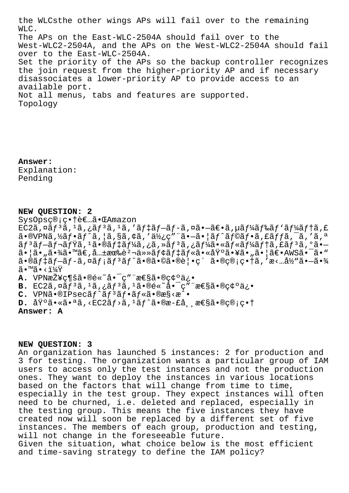the WLCsthe other wings APs will fail over to the remaining WLC. The APs on the East-WLC-2504A should fail over to the West-WLC2-2504A, and the APs on the West-WLC2-2504A should fail over to the East-WLC-2504A. Set the priority of the APs so the backup controller recognizes the join request from the higher-priority AP and if necessary disassociates a lower-priority AP to provide access to an available port. Not all menus, tabs and features are supported. Topology

**Answer:**  Explanation: Pending

## **NEW QUESTION: 2**

SysOpsç®;畆者㕌Amazon

 $EG2\tilde{a}$ ,  $\tilde{a}$  $f$ <sup>3</sup> $\tilde{a}$ ,  $\tilde{a}$  $f$ <sup>3</sup> $\tilde{a}$ ,  $\tilde{a}$ ,  $\tilde{a}$  $f$  $\tilde{a}$  $f$  $\tilde{a}$  $f$  $\tilde{a}$  $f$  $\tilde{a}$ ,  $\tilde{a}$  $f$  $\tilde{a}$  $f$  $\tilde{a}$  $f$  $\tilde{a}$  $f$  $\tilde{a}$  $f$  $\tilde{a}$  $f$  $\tilde{a}$  $f$  $\tilde{a}$  $f$  $\tilde{a}$  $a \cdot \theta$ VPNa,  $\frac{1}{2}a$ ,  $\frac{1}{2}a$ ,  $\frac{1}{2}a$ ,  $\frac{1}{2}a$ ,  $\frac{1}{2}a$ ,  $\frac{1}{2}a$ ,  $\frac{1}{2}a$ ,  $\frac{1}{2}a$ ,  $\frac{1}{2}a$ ,  $\frac{1}{2}a$ ,  $\frac{1}{2}a$ ,  $\frac{1}{2}a$ ,  $\frac{1}{2}a$ ,  $\frac{1}{2}a$ ,  $\frac{1}{2}a$ ,  $\frac{1}{2}a$ ,  $\frac{1}{2}a$ ,  $\frac{$ –• šَرَبَّة آبِكَمْتَرَبَّة آبِيَّةٌ مِنْ تَحْتَرِكُمْ بِكَمْ آبِيَّةٌ أَبِيَّةٌ أَبِيَّةٌ أَبِيَّةٌ وَالْقَبَ  $a \cdot \tilde{a} \cdot \tilde{a}$ ,  $\tilde{a} \cdot \tilde{a}$   $\tilde{a} \in \mathbb{R}$ ,  $\tilde{a} \cdot \tilde{a}$ ,  $\tilde{a} \cdot \tilde{a}$   $\tilde{b}$   $\tilde{c}$   $\tilde{c}$   $\tilde{c}$   $\tilde{c}$   $\tilde{c}$   $\tilde{c}$   $\tilde{c}$   $\tilde{c}$   $\tilde{c}$   $\tilde{c}$   $\tilde{c}$   $\tilde{c}$   $\tilde{c}$   $\tilde$  $\tilde{a}$ •®ã $f$ ‡ã $f$ -ã $f$ -ã,¤ã $f$ ;ã $f$ <sup>3</sup>ã $f$ ^㕮㕮㕩㕮覕ç´ ã•®ç®;畆ã,′æ<…å½"ã•-㕾  $\widetilde{a} \cdot \mathbb{M} \widetilde{a} \cdot \langle 1 \rangle/4 \widetilde{Y}$ 

**A.** VPN接ç¶šã•®é«~啯ç″¨æ€§ã•®ç¢°ä¿•

B. EC2ã, ¤ãf<sup>3</sup>ã, <sup>1</sup>ã, ¿ãf<sup>3</sup>ã, <sup>1</sup>ã. ®é«~å. <sup>-</sup>ç" "性ã. ®ç¢°ä¿.

C. VPNã.<sup>®</sup>IPsecãf^ãf<sup>3</sup>ãf.ãf«ã.®æ§<æ^.

 $D.$   $\tilde{a}\tilde{Y}^{\circ}\tilde{a} \cdot \tilde{a}$  $\tilde{a}$ ,  $\tilde{c}$   $\tilde{f}$   $\tilde{f}$   $\tilde{a}$   $\tilde{f}$   $\tilde{a}$   $\tilde{c}$  $\tilde{c}$  $\tilde{c}$ ,  $\tilde{g}$  $\tilde{f}$  $\tilde{g}$  $\tilde{g}$  $\tilde{g}$  $\tilde{g}$  $\tilde{g}$  $\tilde{g}$  $\tilde{g}$  $\tilde{g}$  $\tilde{g}$  $\tilde{g}$ 

**Answer: A**

**NEW QUESTION: 3**

An organization has launched 5 instances: 2 for production and 3 for testing. The organization wants a particular group of IAM users to access only the test instances and not the production ones. They want to deploy the instances in various locations based on the factors that will change from time to time, especially in the test group. They expect instances will often need to be churned, i.e. deleted and replaced, especially in the testing group. This means the five instances they have created now will soon be replaced by a different set of five instances. The members of each group, production and testing, will not change in the foreseeable future. Given the situation, what choice below is the most efficient and time-saving strategy to define the IAM policy?